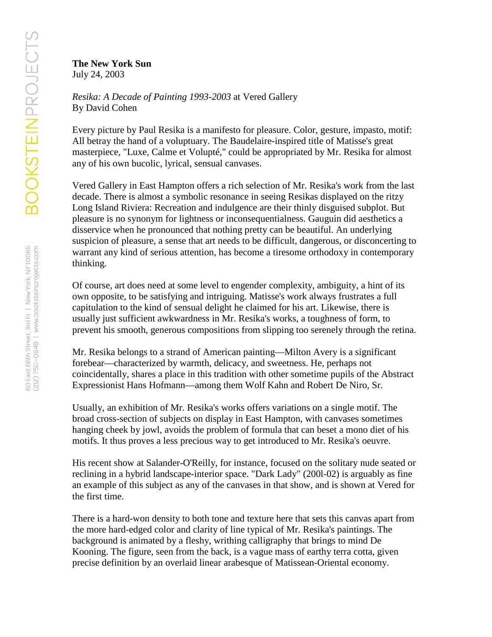**The New York Sun** July 24, 2003

*Resika: A Decade of Painting 1993-2003* at Vered Gallery By David Cohen

Every picture by Paul Resika is a manifesto for pleasure. Color, gesture, impasto, motif: All betray the hand of a voluptuary. The Baudelaire-inspired title of Matisse's great masterpiece, "Luxe, Calme et Volupté," could be appropriated by Mr. Resika for almost any of his own bucolic, lyrical, sensual canvases.

Vered Gallery in East Hampton offers a rich selection of Mr. Resika's work from the last decade. There is almost a symbolic resonance in seeing Resikas displayed on the ritzy Long Island Riviera: Recreation and indulgence are their thinly disguised subplot. But pleasure is no synonym for lightness or inconsequentialness. Gauguin did aesthetics a disservice when he pronounced that nothing pretty can be beautiful. An underlying suspicion of pleasure, a sense that art needs to be difficult, dangerous, or disconcerting to warrant any kind of serious attention, has become a tiresome orthodoxy in contemporary thinking.

Of course, art does need at some level to engender complexity, ambiguity, a hint of its own opposite, to be satisfying and intriguing. Matisse's work always frustrates a full capitulation to the kind of sensual delight he claimed for his art. Likewise, there is usually just sufficient awkwardness in Mr. Resika's works, a toughness of form, to prevent his smooth, generous compositions from slipping too serenely through the retina.

Mr. Resika belongs to a strand of American painting—Milton Avery is a significant forebear—characterized by warmth, delicacy, and sweetness. He, perhaps not coincidentally, shares a place in this tradition with other sometime pupils of the Abstract Expressionist Hans Hofmann—among them Wolf Kahn and Robert De Niro, Sr.

Usually, an exhibition of Mr. Resika's works offers variations on a single motif. The broad cross-section of subjects on display in East Hampton, with canvases sometimes hanging cheek by jowl, avoids the problem of formula that can beset a mono diet of his motifs. It thus proves a less precious way to get introduced to Mr. Resika's oeuvre.

His recent show at Salander-O'Reilly, for instance, focused on the solitary nude seated or reclining in a hybrid landscape-interior space. "Dark Lady" (200l-02) is arguably as fine an example of this subject as any of the canvases in that show, and is shown at Vered for the first time.

There is a hard-won density to both tone and texture here that sets this canvas apart from the more hard-edged color and clarity of line typical of Mr. Resika's paintings. The background is animated by a fleshy, writhing calligraphy that brings to mind De Kooning. The figure, seen from the back, is a vague mass of earthy terra cotta, given precise definition by an overlaid linear arabesque of Matissean-Oriental economy.